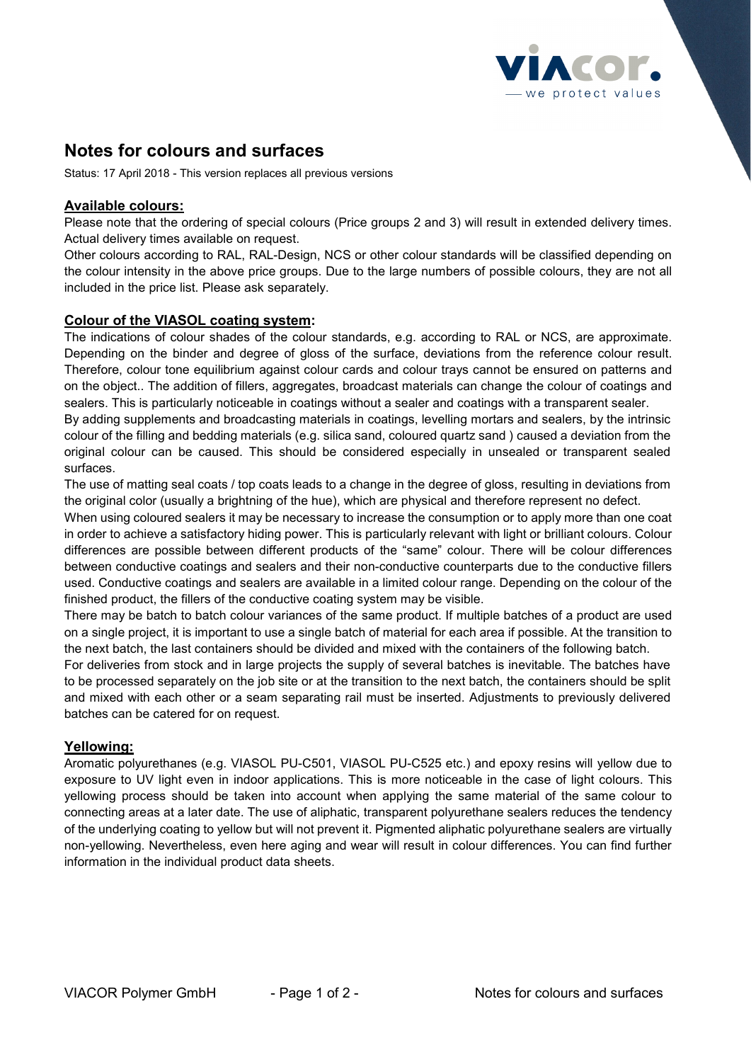

# **Notes for colours and surfaces**

Status: 17 April 2018 - This version replaces all previous versions

# **Available colours:**

Please note that the ordering of special colours (Price groups 2 and 3) will result in extended delivery times. Actual delivery times available on request.

Other colours according to RAL, RAL-Design, NCS or other colour standards will be classified depending on the colour intensity in the above price groups. Due to the large numbers of possible colours, they are not all included in the price list. Please ask separately.

#### **Colour of the VIASOL coating system:**

The indications of colour shades of the colour standards, e.g. according to RAL or NCS, are approximate. Depending on the binder and degree of gloss of the surface, deviations from the reference colour result. Therefore, colour tone equilibrium against colour cards and colour trays cannot be ensured on patterns and on the object.. The addition of fillers, aggregates, broadcast materials can change the colour of coatings and sealers. This is particularly noticeable in coatings without a sealer and coatings with a transparent sealer.

By adding supplements and broadcasting materials in coatings, levelling mortars and sealers, by the intrinsic colour of the filling and bedding materials (e.g. silica sand, coloured quartz sand ) caused a deviation from the original colour can be caused. This should be considered especially in unsealed or transparent sealed surfaces.

The use of matting seal coats / top coats leads to a change in the degree of gloss, resulting in deviations from the original color (usually a brightning of the hue), which are physical and therefore represent no defect.

When using coloured sealers it may be necessary to increase the consumption or to apply more than one coat in order to achieve a satisfactory hiding power. This is particularly relevant with light or brilliant colours. Colour differences are possible between different products of the "same" colour. There will be colour differences between conductive coatings and sealers and their non-conductive counterparts due to the conductive fillers used. Conductive coatings and sealers are available in a limited colour range. Depending on the colour of the finished product, the fillers of the conductive coating system may be visible.

There may be batch to batch colour variances of the same product. If multiple batches of a product are used on a single project, it is important to use a single batch of material for each area if possible. At the transition to the next batch, the last containers should be divided and mixed with the containers of the following batch.

For deliveries from stock and in large projects the supply of several batches is inevitable. The batches have to be processed separately on the job site or at the transition to the next batch, the containers should be split and mixed with each other or a seam separating rail must be inserted. Adjustments to previously delivered batches can be catered for on request.

# **Yellowing:**

Aromatic polyurethanes (e.g. VIASOL PU-C501, VIASOL PU-C525 etc.) and epoxy resins will yellow due to exposure to UV light even in indoor applications. This is more noticeable in the case of light colours. This yellowing process should be taken into account when applying the same material of the same colour to connecting areas at a later date. The use of aliphatic, transparent polyurethane sealers reduces the tendency of the underlying coating to yellow but will not prevent it. Pigmented aliphatic polyurethane sealers are virtually non-yellowing. Nevertheless, even here aging and wear will result in colour differences. You can find further information in the individual product data sheets.